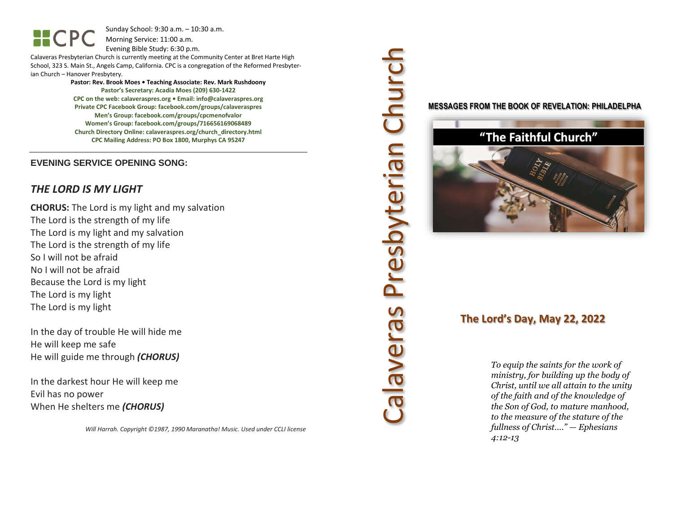Sunday School: 9:30 a.m. – 10:30 a.m. Morning Service: 11:00 a.m.

Evening Bible Study: 6:30 p.m.

Calaveras Presbyterian Church is currently meeting at the Community Center at Bret Harte High School, 323 S. Main St., Angels Camp, California. CPC is a congregation of the Reformed Presbyterian Church – Hanover Presbytery.

> **Pastor: Rev. Brook Moes • Teaching Associate: Rev. Mark Rushdoony Pastor's Secretary: Acadia Moes (209) 630-1422 CPC on the web: calaveraspres.org • Email: [info@calaveraspres.org](mailto:info@calaveraspres.org) Private CPC Facebook Group: facebook.com/groups/calaveraspres Men's Group: facebook.com/groups/cpcmenofvalor Women's Group: facebook.com/groups/716656169068489 Church Directory Online: calaveraspres.org/church\_directory.html CPC Mailing Address: PO Box 1800, Murphys CA 95247**

#### **EVENING SERVICE OPENING SONG:**

### *THE LORD IS MY LIGHT*

**CHORUS:** The Lord is my light and my salvation The Lord is the strength of my life The Lord is my light and my salvation The Lord is the strength of my life So I will not be afraid No I will not be afraid Because the Lord is my light The Lord is my light The Lord is my light

In the day of trouble He will hide me He will keep me safe He will guide me through *(CHORUS)*

In the darkest hour He will keep me Evil has no power When He shelters me *(CHORUS)*

*Will Harrah. Copyright ©1987, 1990 Maranatha! Music. Used under CCLI license*

# Calaveras Presbyterian Church Presbyterian Church callaveras

#### **MESSAGES FROM THE BOOK OF REVELATION: PHILADELPHA**



# **The Lord's Day, May 22, 2022**

*To equip the saints for the work of ministry, for building up the body of Christ, until we all attain to the unity of the faith and of the knowledge of the Son of God, to mature manhood, to the measure of the stature of the fullness of Christ…." — Ephesians 4:12-13*